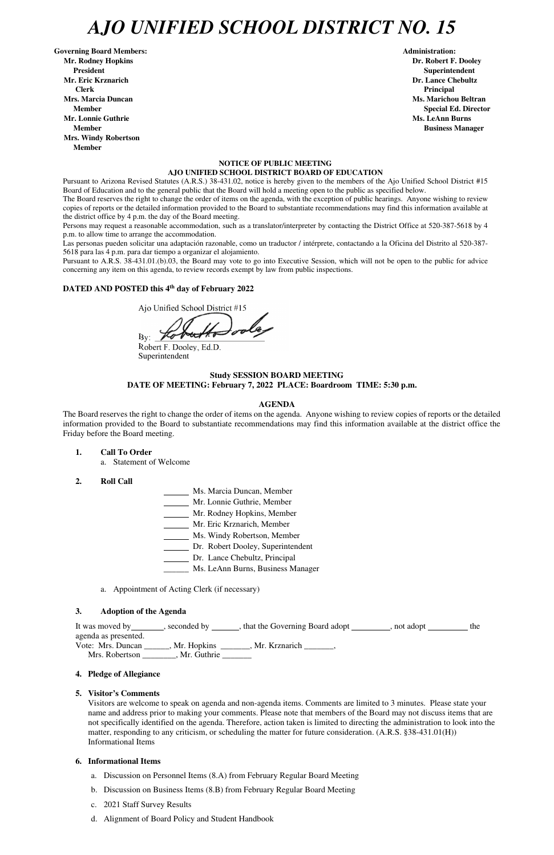# *AJO UNIFIED SCHOOL DISTRICT NO. 15*

Governing Board Members: **Administration: Administration: Administration: Mr. Rodney Hopkins Dr. Robert F. Dooley President Superintendent Mr. Eric Krznarich Dr. Lance Chebultz Clerk Principal Mrs. Marcia Duncan Ms. Marichou Beltran** *Ms. Marichou Beltran* **Ms. Marichou Beltran <b>Ms. Marichou Beltran Mr. Lonnie Guthrie Ms. LeAnn Burns**  $\mathbf{M}$ **s. LeAnn Burns**  $\mathbf{M}$ **s. LeAnn Burns**  $\mathbf{M}$ **s. LeAnn Burns**  $\mathbf{M}$ **s. LeAnn Burns**  $\mathbf{M}$ **s. LeAnn Burns**  $\mathbf{M}$ **s. LeAnn Burns**  $\mathbf{M}$ **s. Le** $\mathbf{M}$ **s. Le** $\mathbf{M}$ **s. Le** $\mathbf{M}$ **Member Business Manager Business Manager Business Manager Mrs. Windy Robertson Member** 

#### **NOTICE OF PUBLIC MEETING AJO UNIFIED SCHOOL DISTRICT BOARD OF EDUCATION**

Pursuant to Arizona Revised Statutes (A.R.S.) 38-431.02, notice is hereby given to the members of the Ajo Unified School District #15 Board of Education and to the general public that the Board will hold a meeting open to the public as specified below.

The Board reserves the right to change the order of items on the agenda, with the exception of public hearings. Anyone wishing to review copies of reports or the detailed information provided to the Board to substantiate recommendations may find this information available at the district office by 4 p.m. the day of the Board meeting.

Persons may request a reasonable accommodation, such as a translator/interpreter by contacting the District Office at 520-387-5618 by 4 p.m. to allow time to arrange the accommodation.

Las personas pueden solicitar una adaptación razonable, como un traductor / intérprete, contactando a la Oficina del Distrito al 520-387- 5618 para las 4 p.m. para dar tiempo a organizar el alojamiento.

agenda as presented. Vote: Mrs. Duncan \_\_\_\_\_\_, Mr. Hopkins \_\_\_\_\_\_\_, Mr. Krznarich \_\_\_\_\_\_\_, Mrs. Robertson \_\_\_\_\_\_\_\_, Mr. Guthrie \_\_\_\_\_\_\_

Pursuant to A.R.S. 38-431.01.(b).03, the Board may vote to go into Executive Session, which will not be open to the public for advice concerning any item on this agenda, to review records exempt by law from public inspections.

#### **DATED AND POSTED this 4th day of February 2022**

Ajo Unified School District #15

 $\mathbf{By:}$ 

Robert F. Dooley, Ed.D. Superintendent

#### **Study SESSION BOARD MEETING DATE OF MEETING: February 7, 2022 PLACE: Boardroom TIME: 5:30 p.m.**

#### **AGENDA**

The Board reserves the right to change the order of items on the agenda. Anyone wishing to review copies of reports or the detailed information provided to the Board to substantiate recommendations may find this information available at the district office the Friday before the Board meeting.

- **1. Call To Order** 
	- a. Statement of Welcome
- **2. Roll Call**
- Ms. Marcia Duncan, Member
- Mr. Lonnie Guthrie, Member
- Mr. Rodney Hopkins, Member
- Mr. Eric Krznarich, Member
- Ms. Windy Robertson, Member
- Dr. Robert Dooley, Superintendent
- Dr. Lance Chebultz, Principal
- \_\_\_\_\_\_ Ms. LeAnn Burns, Business Manager
- a. Appointment of Acting Clerk (if necessary)

#### **3. Adoption of the Agenda**

It was moved by \_\_\_\_\_\_\_, seconded by \_\_\_\_\_\_, that the Governing Board adopt \_\_\_\_\_\_\_\_, not adopt

**Member** Special Ed. Director **Special Ed. Director** 

# **4. Pledge of Allegiance**

# **5. Visitor's Comments**

Visitors are welcome to speak on agenda and non-agenda items. Comments are limited to 3 minutes. Please state your name and address prior to making your comments. Please note that members of the Board may not discuss items that are not specifically identified on the agenda. Therefore, action taken is limited to directing the administration to look into the matter, responding to any criticism, or scheduling the matter for future consideration. (A.R.S. §38-431.01(H)) Informational Items

#### **6. Informational Items**

- a. Discussion on Personnel Items (8.A) from February Regular Board Meeting
- b. Discussion on Business Items (8.B) from February Regular Board Meeting
- c. 2021 Staff Survey Results
- d. Alignment of Board Policy and Student Handbook